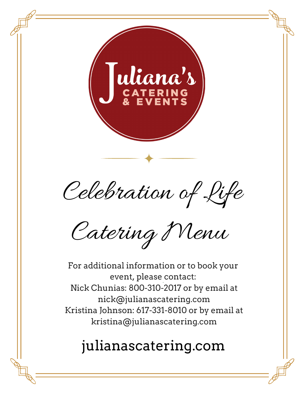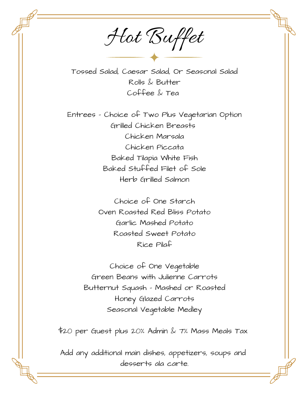Hot Buffet

Tossed Salad, Caesar Salad, Or Seasonal Salad Rolls & Butter Coffee & Tea

Entrees – Choice of Two Plus Vegetarian Option Grilled Chicken Breasts Chicken Marsala Chicken Piccata Baked Tilapia White Fish Baked Stuffed Filet of Sole Herb Grilled Salmon

> Choice of One Starch Oven Roasted Red Bliss Potato Garlic Mashed Potato Roasted Sweet Potato Rice Pilaf

Choice of One Vegetable Green Beans with Julienne Carrots Butternut Squash – Mashed or Roasted Honey Glazed Carrots Seasonal Vegetable Medley

\$20 per Guest plus 20% Admin & 7% Mass Meals Tax

Add any additional main dishes, appetizers, soups and desserts ala carte.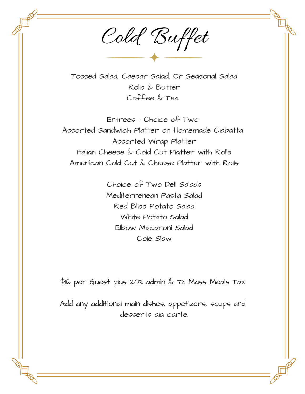Cold Buffet

Tossed Salad, Caesar Salad, Or Seasonal Salad Rolls & Butter Coffee & Tea

Entrees – Choice of Two Assorted Sandwich Platter on Homemade Ciabatta Assorted Wrap Platter Italian Cheese & Cold Cut Platter with Rolls American Cold Cut & Cheese Platter with Rolls

> Choice of Two Deli Salads Mediterrenean Pasta Salad Red Bliss Potato Salad White Potato Salad Elbow Macaroni Salad Cole Slaw

\$16 per Guest plus 20% admin & 7% Mass Meals Tax

Add any additional main dishes, appetizers, soups and desserts ala carte.